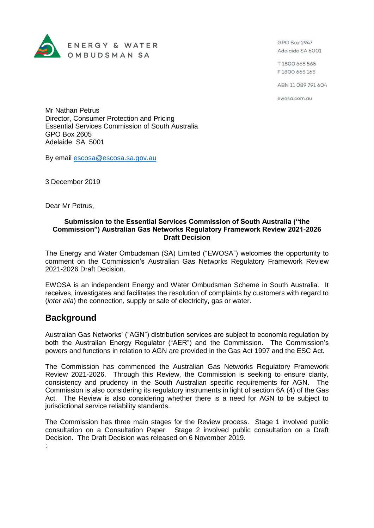

GPO Box 2947 Adelaide SA 5001

T1800 665 565 F1800 665 165

ABN 11 089 791 604

ewosa.com.au

Mr Nathan Petrus Director, Consumer Protection and Pricing Essential Services Commission of South Australia GPO Box 2605 Adelaide SA 5001

By email [escosa@escosa.sa.gov.au](mailto:escosa@escosa.sa.gov.au)

3 December 2019

Dear Mr Petrus,

#### **Submission to the Essential Services Commission of South Australia ("the Commission") Australian Gas Networks Regulatory Framework Review 2021-2026 Draft Decision**

The Energy and Water Ombudsman (SA) Limited ("EWOSA") welcomes the opportunity to comment on the Commission's Australian Gas Networks Regulatory Framework Review 2021-2026 Draft Decision.

EWOSA is an independent Energy and Water Ombudsman Scheme in South Australia. It receives, investigates and facilitates the resolution of complaints by customers with regard to (*inter alia*) the connection, supply or sale of electricity, gas or water.

# **Background**

Australian Gas Networks' ("AGN") distribution services are subject to economic regulation by both the Australian Energy Regulator ("AER") and the Commission. The Commission's powers and functions in relation to AGN are provided in the Gas Act 1997 and the ESC Act.

The Commission has commenced the Australian Gas Networks Regulatory Framework Review 2021-2026. Through this Review, the Commission is seeking to ensure clarity, consistency and prudency in the South Australian specific requirements for AGN. The Commission is also considering its regulatory instruments in light of section 6A (4) of the Gas Act. The Review is also considering whether there is a need for AGN to be subject to jurisdictional service reliability standards.

The Commission has three main stages for the Review process. Stage 1 involved public consultation on a Consultation Paper. Stage 2 involved public consultation on a Draft Decision. The Draft Decision was released on 6 November 2019. :